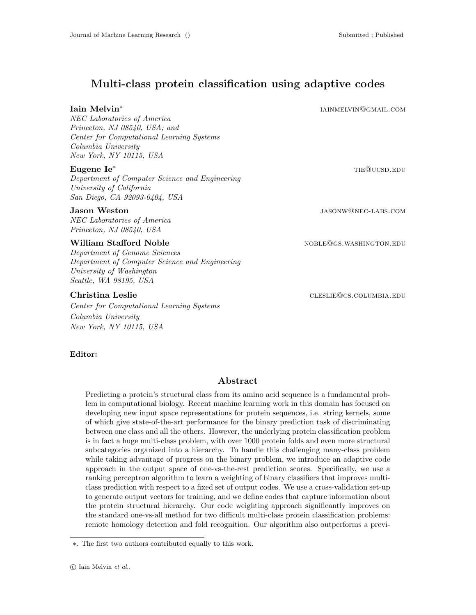# Multi-class protein classification using adaptive codes

## Iain Melvin<sup>∗</sup>

NEC Laboratories of America Princeton, NJ 08540, USA; and Center for Computational Learning Systems Columbia University New York, NY 10115, USA

Department of Computer Science and Engineering University of California San Diego, CA 92093-0404, USA

NEC Laboratories of America Princeton, NJ 08540, USA

## William Stafford Noble **now all assets a set of the Stafford Noble** noble noble noble no  $\mathbb{R}^n$

Department of Genome Sciences Department of Computer Science and Engineering University of Washington Seattle, WA 98195, USA

Center for Computational Learning Systems Columbia University New York, NY 10115, USA

 $\bf{Eugene\,\, Ie^*}$  the  $\bf{Eugene\,\, Ie^*}$ 

**Jason Weston** jasonw@nec-labs.com

iainmelvin@gmail.com

Christina Leslie cleared a cleared cleared cleared cleared cleared cleared cleared cleared cleared cleared cleared cleared cleared cleared cleared cleared cleared cleared cleared cleared cleared cleared cleared cleared cle

#### Editor:

### Abstract

Predicting a protein's structural class from its amino acid sequence is a fundamental problem in computational biology. Recent machine learning work in this domain has focused on developing new input space representations for protein sequences, i.e. string kernels, some of which give state-of-the-art performance for the binary prediction task of discriminating between one class and all the others. However, the underlying protein classification problem is in fact a huge multi-class problem, with over 1000 protein folds and even more structural subcategories organized into a hierarchy. To handle this challenging many-class problem while taking advantage of progress on the binary problem, we introduce an adaptive code approach in the output space of one-vs-the-rest prediction scores. Specifically, we use a ranking perceptron algorithm to learn a weighting of binary classifiers that improves multiclass prediction with respect to a fixed set of output codes. We use a cross-validation set-up to generate output vectors for training, and we define codes that capture information about the protein structural hierarchy. Our code weighting approach significantly improves on the standard one-vs-all method for two difficult multi-class protein classification problems: remote homology detection and fold recognition. Our algorithm also outperforms a previ-

<sup>∗</sup>. The first two authors contributed equally to this work.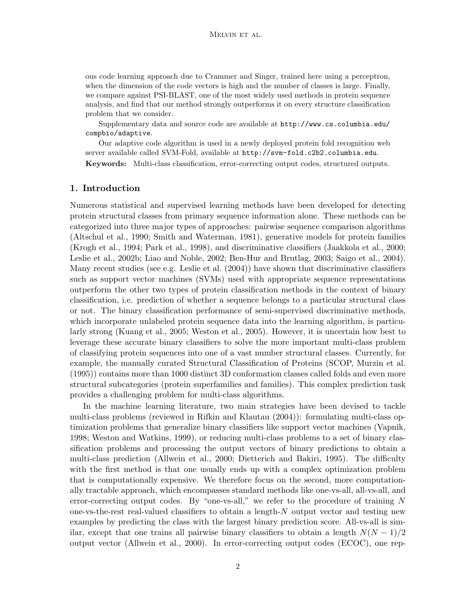ous code learning approach due to Crammer and Singer, trained here using a perceptron, when the dimension of the code vectors is high and the number of classes is large. Finally, we compare against PSI-BLAST, one of the most widely used methods in protein sequence analysis, and find that our method strongly outperforms it on every structure classification problem that we consider.

Supplementary data and source code are available at http://www.cs.columbia.edu/ compbio/adaptive.

Our adaptive code algorithm is used in a newly deployed protein fold recognition web server available called SVM-Fold, available at http://svm-fold.c2b2.columbia.edu.

Keywords: Multi-class classification, error-correcting output codes, structured outputs.

## 1. Introduction

Numerous statistical and supervised learning methods have been developed for detecting protein structural classes from primary sequence information alone. These methods can be categorized into three major types of approaches: pairwise sequence comparison algorithms (Altschul et al., 1990; Smith and Waterman, 1981), generative models for protein families (Krogh et al., 1994; Park et al., 1998), and discriminative classifiers (Jaakkola et al., 2000; Leslie et al., 2002b; Liao and Noble, 2002; Ben-Hur and Brutlag, 2003; Saigo et al., 2004). Many recent studies (see e.g. Leslie et al. (2004)) have shown that discriminative classifiers such as support vector machines (SVMs) used with appropriate sequence representations outperform the other two types of protein classification methods in the context of binary classification, i.e. prediction of whether a sequence belongs to a particular structural class or not. The binary classification performance of semi-supervised discriminative methods, which incorporate unlabeled protein sequence data into the learning algorithm, is particularly strong (Kuang et al., 2005; Weston et al., 2005). However, it is uncertain how best to leverage these accurate binary classifiers to solve the more important multi-class problem of classifying protein sequences into one of a vast number structural classes. Currently, for example, the manually curated Structural Classification of Proteins (SCOP, Murzin et al. (1995)) contains more than 1000 distinct 3D conformation classes called folds and even more structural subcategories (protein superfamilies and families). This complex prediction task provides a challenging problem for multi-class algorithms.

In the machine learning literature, two main strategies have been devised to tackle multi-class problems (reviewed in Rifkin and Klautau (2004)): formulating multi-class optimization problems that generalize binary classifiers like support vector machines (Vapnik, 1998; Weston and Watkins, 1999), or reducing multi-class problems to a set of binary classification problems and processing the output vectors of binary predictions to obtain a multi-class prediction (Allwein et al., 2000; Dietterich and Bakiri, 1995). The difficulty with the first method is that one usually ends up with a complex optimization problem that is computationally expensive. We therefore focus on the second, more computationally tractable approach, which encompasses standard methods like one-vs-all, all-vs-all, and error-correcting output codes. By "one-vs-all," we refer to the procedure of training  $N$ one-vs-the-rest real-valued classifiers to obtain a length-N output vector and testing new examples by predicting the class with the largest binary prediction score. All-vs-all is similar, except that one trains all pairwise binary classifiers to obtain a length  $N(N-1)/2$ output vector (Allwein et al., 2000). In error-correcting output codes (ECOC), one rep-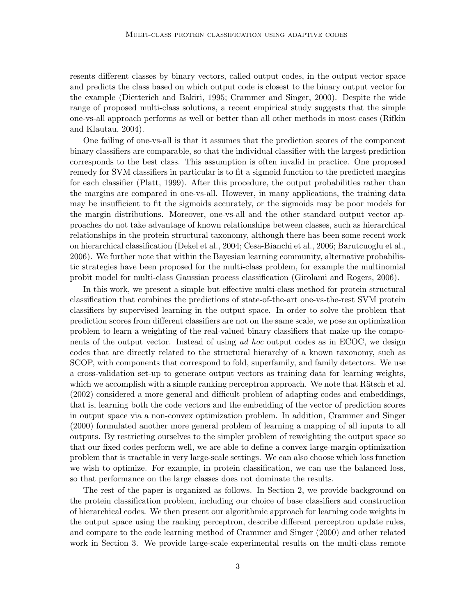resents different classes by binary vectors, called output codes, in the output vector space and predicts the class based on which output code is closest to the binary output vector for the example (Dietterich and Bakiri, 1995; Crammer and Singer, 2000). Despite the wide range of proposed multi-class solutions, a recent empirical study suggests that the simple one-vs-all approach performs as well or better than all other methods in most cases (Rifkin and Klautau, 2004).

One failing of one-vs-all is that it assumes that the prediction scores of the component binary classifiers are comparable, so that the individual classifier with the largest prediction corresponds to the best class. This assumption is often invalid in practice. One proposed remedy for SVM classifiers in particular is to fit a sigmoid function to the predicted margins for each classifier (Platt, 1999). After this procedure, the output probabilities rather than the margins are compared in one-vs-all. However, in many applications, the training data may be insufficient to fit the sigmoids accurately, or the sigmoids may be poor models for the margin distributions. Moreover, one-vs-all and the other standard output vector approaches do not take advantage of known relationships between classes, such as hierarchical relationships in the protein structural taxonomy, although there has been some recent work on hierarchical classification (Dekel et al., 2004; Cesa-Bianchi et al., 2006; Barutcuoglu et al., 2006). We further note that within the Bayesian learning community, alternative probabilistic strategies have been proposed for the multi-class problem, for example the multinomial probit model for multi-class Gaussian process classification (Girolami and Rogers, 2006).

In this work, we present a simple but effective multi-class method for protein structural classification that combines the predictions of state-of-the-art one-vs-the-rest SVM protein classifiers by supervised learning in the output space. In order to solve the problem that prediction scores from different classifiers are not on the same scale, we pose an optimization problem to learn a weighting of the real-valued binary classifiers that make up the components of the output vector. Instead of using ad hoc output codes as in ECOC, we design codes that are directly related to the structural hierarchy of a known taxonomy, such as SCOP, with components that correspond to fold, superfamily, and family detectors. We use a cross-validation set-up to generate output vectors as training data for learning weights, which we accomplish with a simple ranking perceptron approach. We note that Rätsch et al. (2002) considered a more general and difficult problem of adapting codes and embeddings, that is, learning both the code vectors and the embedding of the vector of prediction scores in output space via a non-convex optimization problem. In addition, Crammer and Singer (2000) formulated another more general problem of learning a mapping of all inputs to all outputs. By restricting ourselves to the simpler problem of reweighting the output space so that our fixed codes perform well, we are able to define a convex large-margin optimization problem that is tractable in very large-scale settings. We can also choose which loss function we wish to optimize. For example, in protein classification, we can use the balanced loss, so that performance on the large classes does not dominate the results.

The rest of the paper is organized as follows. In Section 2, we provide background on the protein classification problem, including our choice of base classifiers and construction of hierarchical codes. We then present our algorithmic approach for learning code weights in the output space using the ranking perceptron, describe different perceptron update rules, and compare to the code learning method of Crammer and Singer (2000) and other related work in Section 3. We provide large-scale experimental results on the multi-class remote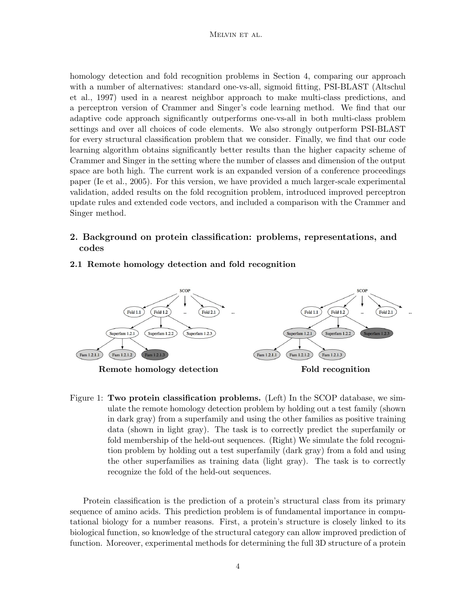### Melvin et al.

homology detection and fold recognition problems in Section 4, comparing our approach with a number of alternatives: standard one-vs-all, sigmoid fitting, PSI-BLAST (Altschul et al., 1997) used in a nearest neighbor approach to make multi-class predictions, and a perceptron version of Crammer and Singer's code learning method. We find that our adaptive code approach significantly outperforms one-vs-all in both multi-class problem settings and over all choices of code elements. We also strongly outperform PSI-BLAST for every structural classification problem that we consider. Finally, we find that our code learning algorithm obtains significantly better results than the higher capacity scheme of Crammer and Singer in the setting where the number of classes and dimension of the output space are both high. The current work is an expanded version of a conference proceedings paper (Ie et al., 2005). For this version, we have provided a much larger-scale experimental validation, added results on the fold recognition problem, introduced improved perceptron update rules and extended code vectors, and included a comparison with the Crammer and Singer method.

# 2. Background on protein classification: problems, representations, and codes

## 2.1 Remote homology detection and fold recognition



Figure 1: Two protein classification problems. (Left) In the SCOP database, we simulate the remote homology detection problem by holding out a test family (shown in dark gray) from a superfamily and using the other families as positive training data (shown in light gray). The task is to correctly predict the superfamily or fold membership of the held-out sequences. (Right) We simulate the fold recognition problem by holding out a test superfamily (dark gray) from a fold and using the other superfamilies as training data (light gray). The task is to correctly recognize the fold of the held-out sequences.

Protein classification is the prediction of a protein's structural class from its primary sequence of amino acids. This prediction problem is of fundamental importance in computational biology for a number reasons. First, a protein's structure is closely linked to its biological function, so knowledge of the structural category can allow improved prediction of function. Moreover, experimental methods for determining the full 3D structure of a protein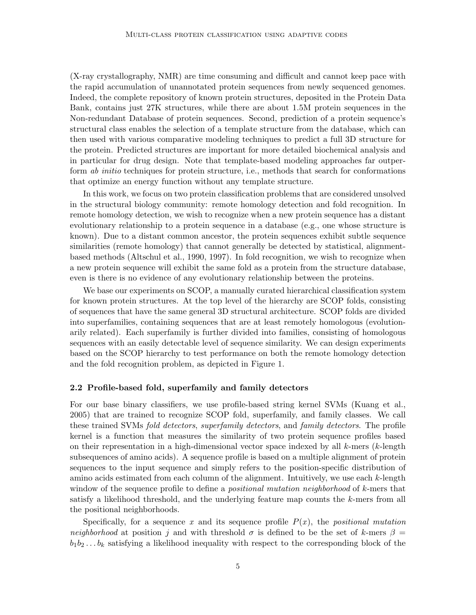(X-ray crystallography, NMR) are time consuming and difficult and cannot keep pace with the rapid accumulation of unannotated protein sequences from newly sequenced genomes. Indeed, the complete repository of known protein structures, deposited in the Protein Data Bank, contains just 27K structures, while there are about 1.5M protein sequences in the Non-redundant Database of protein sequences. Second, prediction of a protein sequence's structural class enables the selection of a template structure from the database, which can then used with various comparative modeling techniques to predict a full 3D structure for the protein. Predicted structures are important for more detailed biochemical analysis and in particular for drug design. Note that template-based modeling approaches far outperform ab initio techniques for protein structure, i.e., methods that search for conformations that optimize an energy function without any template structure.

In this work, we focus on two protein classification problems that are considered unsolved in the structural biology community: remote homology detection and fold recognition. In remote homology detection, we wish to recognize when a new protein sequence has a distant evolutionary relationship to a protein sequence in a database (e.g., one whose structure is known). Due to a distant common ancestor, the protein sequences exhibit subtle sequence similarities (remote homology) that cannot generally be detected by statistical, alignmentbased methods (Altschul et al., 1990, 1997). In fold recognition, we wish to recognize when a new protein sequence will exhibit the same fold as a protein from the structure database, even is there is no evidence of any evolutionary relationship between the proteins.

We base our experiments on SCOP, a manually curated hierarchical classification system for known protein structures. At the top level of the hierarchy are SCOP folds, consisting of sequences that have the same general 3D structural architecture. SCOP folds are divided into superfamilies, containing sequences that are at least remotely homologous (evolutionarily related). Each superfamily is further divided into families, consisting of homologous sequences with an easily detectable level of sequence similarity. We can design experiments based on the SCOP hierarchy to test performance on both the remote homology detection and the fold recognition problem, as depicted in Figure 1.

#### 2.2 Profile-based fold, superfamily and family detectors

For our base binary classifiers, we use profile-based string kernel SVMs (Kuang et al., 2005) that are trained to recognize SCOP fold, superfamily, and family classes. We call these trained SVMs *fold detectors, superfamily detectors*, and *family detectors*. The profile kernel is a function that measures the similarity of two protein sequence profiles based on their representation in a high-dimensional vector space indexed by all  $k$ -mers ( $k$ -length subsequences of amino acids). A sequence profile is based on a multiple alignment of protein sequences to the input sequence and simply refers to the position-specific distribution of amino acids estimated from each column of the alignment. Intuitively, we use each  $k$ -length window of the sequence profile to define a *positional mutation neighborhood* of k-mers that satisfy a likelihood threshold, and the underlying feature map counts the k-mers from all the positional neighborhoods.

Specifically, for a sequence x and its sequence profile  $P(x)$ , the positional mutation neighborhood at position j and with threshold  $\sigma$  is defined to be the set of k-mers  $\beta =$  $b_1b_2 \ldots b_k$  satisfying a likelihood inequality with respect to the corresponding block of the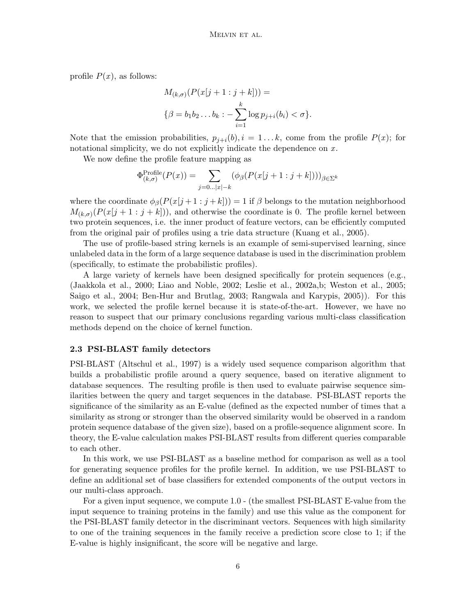profile  $P(x)$ , as follows:

$$
M_{(k,\sigma)}(P(x[j+1:j+k])) =
$$
  

$$
\{\beta = b_1 b_2 \dots b_k : -\sum_{i=1}^k \log p_{j+i}(b_i) < \sigma\}.
$$

Note that the emission probabilities,  $p_{j+i}(b), i = 1...k$ , come from the profile  $P(x)$ ; for notational simplicity, we do not explicitly indicate the dependence on  $x$ .

We now define the profile feature mapping as

$$
\Phi^{\text{Profile}}_{(k,\sigma)}(P(x)) = \sum_{j=0...|x|-k} (\phi_{\beta}(P(x[j+1:j+k])))_{\beta \in \Sigma^k})
$$

where the coordinate  $\phi_{\beta}(P(x[j+1:j+k])) = 1$  if  $\beta$  belongs to the mutation neighborhood  $M_{(k,\sigma)}(P(x[j+1:j+k]))$ , and otherwise the coordinate is 0. The profile kernel between two protein sequences, i.e. the inner product of feature vectors, can be efficiently computed from the original pair of profiles using a trie data structure (Kuang et al., 2005).

The use of profile-based string kernels is an example of semi-supervised learning, since unlabeled data in the form of a large sequence database is used in the discrimination problem (specifically, to estimate the probabilistic profiles).

A large variety of kernels have been designed specifically for protein sequences (e.g., (Jaakkola et al., 2000; Liao and Noble, 2002; Leslie et al., 2002a,b; Weston et al., 2005; Saigo et al., 2004; Ben-Hur and Brutlag, 2003; Rangwala and Karypis, 2005)). For this work, we selected the profile kernel because it is state-of-the-art. However, we have no reason to suspect that our primary conclusions regarding various multi-class classification methods depend on the choice of kernel function.

## 2.3 PSI-BLAST family detectors

PSI-BLAST (Altschul et al., 1997) is a widely used sequence comparison algorithm that builds a probabilistic profile around a query sequence, based on iterative alignment to database sequences. The resulting profile is then used to evaluate pairwise sequence similarities between the query and target sequences in the database. PSI-BLAST reports the significance of the similarity as an E-value (defined as the expected number of times that a similarity as strong or stronger than the observed similarity would be observed in a random protein sequence database of the given size), based on a profile-sequence alignment score. In theory, the E-value calculation makes PSI-BLAST results from different queries comparable to each other.

In this work, we use PSI-BLAST as a baseline method for comparison as well as a tool for generating sequence profiles for the profile kernel. In addition, we use PSI-BLAST to define an additional set of base classifiers for extended components of the output vectors in our multi-class approach.

For a given input sequence, we compute 1.0 - (the smallest PSI-BLAST E-value from the input sequence to training proteins in the family) and use this value as the component for the PSI-BLAST family detector in the discriminant vectors. Sequences with high similarity to one of the training sequences in the family receive a prediction score close to 1; if the E-value is highly insignificant, the score will be negative and large.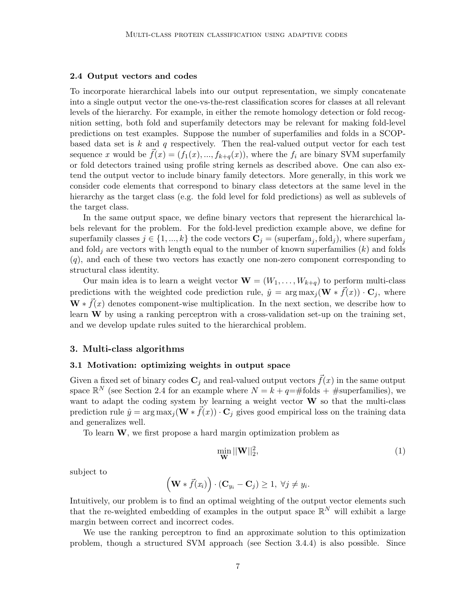#### 2.4 Output vectors and codes

To incorporate hierarchical labels into our output representation, we simply concatenate into a single output vector the one-vs-the-rest classification scores for classes at all relevant levels of the hierarchy. For example, in either the remote homology detection or fold recognition setting, both fold and superfamily detectors may be relevant for making fold-level predictions on test examples. Suppose the number of superfamilies and folds in a SCOPbased data set is  $k$  and  $q$  respectively. Then the real-valued output vector for each test sequence x would be  $\bar{f}(x) = (f_1(x),...,f_{k+q}(x))$ , where the  $f_i$  are binary SVM superfamily or fold detectors trained using profile string kernels as described above. One can also extend the output vector to include binary family detectors. More generally, in this work we consider code elements that correspond to binary class detectors at the same level in the hierarchy as the target class (e.g. the fold level for fold predictions) as well as sublevels of the target class.

In the same output space, we define binary vectors that represent the hierarchical labels relevant for the problem. For the fold-level prediction example above, we define for superfamily classes  $j \in \{1, ..., k\}$  the code vectors  $\mathbf{C}_j = (\text{superfam}_j, \text{fold}_j)$ , where superfam<sub>j</sub> and fold<sub>i</sub> are vectors with length equal to the number of known superfamilies  $(k)$  and folds  $(q)$ , and each of these two vectors has exactly one non-zero component corresponding to structural class identity.

Our main idea is to learn a weight vector  $\mathbf{W} = (W_1, \ldots, W_{k+q})$  to perform multi-class predictions with the weighted code prediction rule,  $\hat{y} = \arg \max_j (\mathbf{W} * \vec{f}(x)) \cdot \mathbf{C}_j$ , where  $\mathbf{W} * \vec{f}(x)$  denotes component-wise multiplication. In the next section, we describe how to learn  $W$  by using a ranking perceptron with a cross-validation set-up on the training set, and we develop update rules suited to the hierarchical problem.

### 3. Multi-class algorithms

### 3.1 Motivation: optimizing weights in output space

Given a fixed set of binary codes  $\mathbf{C}_j$  and real-valued output vectors  $\vec{f}(x)$  in the same output space  $\mathbb{R}^N$  (see Section 2.4 for an example where  $N = k + q = \text{\# folds} + \text{\#superfamilies}$ ), we want to adapt the coding system by learning a weight vector W so that the multi-class prediction rule  $\hat{y} = \arg \max_j (\mathbf{W} * \vec{f}(x)) \cdot \mathbf{C}_j$  gives good empirical loss on the training data and generalizes well.

To learn W, we first propose a hard margin optimization problem as

$$
\min_{\mathbf{W}} ||\mathbf{W}||_2^2, \tag{1}
$$

subject to

$$
(\mathbf{W} * \vec{f}(x_i)) \cdot (\mathbf{C}_{y_i} - \mathbf{C}_j) \ge 1, \ \forall j \neq y_i.
$$

Intuitively, our problem is to find an optimal weighting of the output vector elements such that the re-weighted embedding of examples in the output space  $\mathbb{R}^N$  will exhibit a large margin between correct and incorrect codes.

We use the ranking perceptron to find an approximate solution to this optimization problem, though a structured SVM approach (see Section 3.4.4) is also possible. Since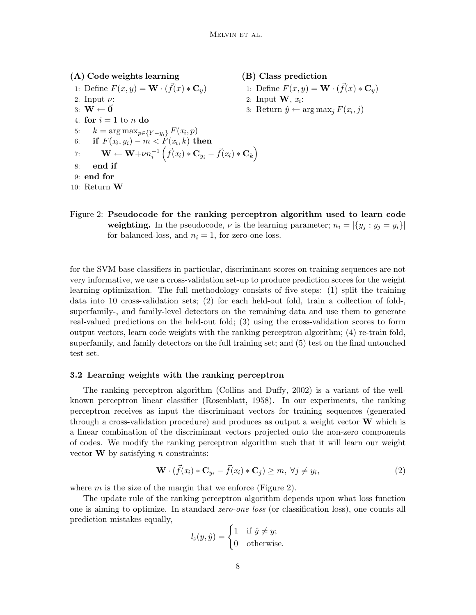| (A) Code weights learning                                                                                                               | (B) Class prediction                                              |
|-----------------------------------------------------------------------------------------------------------------------------------------|-------------------------------------------------------------------|
| 1: Define $F(x,y) = \mathbf{W} \cdot (\bar{f}(x) * \mathbf{C}_y)$                                                                       | 1: Define $F(x,y) = \mathbf{W} \cdot (\vec{f}(x) * \mathbf{C}_n)$ |
| 2: Input $\nu$ :                                                                                                                        | 2: Input $\mathbf{W}, x_i$ :                                      |
| 3: $\mathbf{W} \leftarrow \vec{\mathbf{0}}$                                                                                             | 3: Return $\hat{y} \leftarrow \arg \max_j F(x_i, j)$              |
| 4: for $i=1$ to n do                                                                                                                    |                                                                   |
| 5: $k = \arg \max_{p \in \{Y - y_i\}} F(x_i, p)$                                                                                        |                                                                   |
| 6: if $F(x_i, y_i) - m < F(x_i, k)$ then                                                                                                |                                                                   |
| 7: $\mathbf{W} \leftarrow \mathbf{W} + \nu n_i^{-1} \left( \vec{f}(x_i) \ast \mathbf{C}_{y_i} - \vec{f}(x_i) \ast \mathbf{C}_k \right)$ |                                                                   |
| end if<br>8:                                                                                                                            |                                                                   |
| $9:$ end for                                                                                                                            |                                                                   |
| 10: Return $W$                                                                                                                          |                                                                   |

Figure 2: Pseudocode for the ranking perceptron algorithm used to learn code weighting. In the pseudocode,  $\nu$  is the learning parameter;  $n_i = |\{y_j : y_j = y_i\}|$ for balanced-loss, and  $n_i = 1$ , for zero-one loss.

for the SVM base classifiers in particular, discriminant scores on training sequences are not very informative, we use a cross-validation set-up to produce prediction scores for the weight learning optimization. The full methodology consists of five steps: (1) split the training data into 10 cross-validation sets; (2) for each held-out fold, train a collection of fold-, superfamily-, and family-level detectors on the remaining data and use them to generate real-valued predictions on the held-out fold; (3) using the cross-validation scores to form output vectors, learn code weights with the ranking perceptron algorithm; (4) re-train fold, superfamily, and family detectors on the full training set; and (5) test on the final untouched test set.

## 3.2 Learning weights with the ranking perceptron

The ranking perceptron algorithm (Collins and Duffy, 2002) is a variant of the wellknown perceptron linear classifier (Rosenblatt, 1958). In our experiments, the ranking perceptron receives as input the discriminant vectors for training sequences (generated through a cross-validation procedure) and produces as output a weight vector  $W$  which is a linear combination of the discriminant vectors projected onto the non-zero components of codes. We modify the ranking perceptron algorithm such that it will learn our weight vector  $\bf{W}$  by satisfying *n* constraints:

$$
\mathbf{W} \cdot (\vec{f}(x_i) * \mathbf{C}_{y_i} - \vec{f}(x_i) * \mathbf{C}_j) \ge m, \ \forall j \ne y_i,
$$
\n(2)

where  $m$  is the size of the margin that we enforce (Figure 2).

The update rule of the ranking perceptron algorithm depends upon what loss function one is aiming to optimize. In standard *zero-one loss* (or classification loss), one counts all prediction mistakes equally,

$$
l_z(y, \hat{y}) = \begin{cases} 1 & \text{if } \hat{y} \neq y; \\ 0 & \text{otherwise.} \end{cases}
$$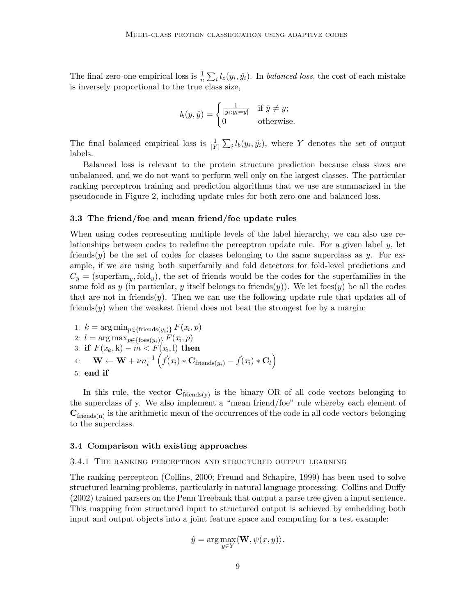The final zero-one empirical loss is  $\frac{1}{n} \sum_i l_z(y_i, \hat{y}_i)$ . In *balanced loss*, the cost of each mistake is inversely proportional to the true class size,

$$
l_b(y, \hat{y}) = \begin{cases} \frac{1}{|y_i : y_i = y|} & \text{if } \hat{y} \neq y; \\ 0 & \text{otherwise.} \end{cases}
$$

The final balanced empirical loss is  $\frac{1}{|Y|}\sum_i l_b(y_i, \hat{y}_i)$ , where Y denotes the set of output labels.

Balanced loss is relevant to the protein structure prediction because class sizes are unbalanced, and we do not want to perform well only on the largest classes. The particular ranking perceptron training and prediction algorithms that we use are summarized in the pseudocode in Figure 2, including update rules for both zero-one and balanced loss.

#### 3.3 The friend/foe and mean friend/foe update rules

When using codes representing multiple levels of the label hierarchy, we can also use relationships between codes to redefine the perceptron update rule. For a given label y, let friends(y) be the set of codes for classes belonging to the same superclass as y. For example, if we are using both superfamily and fold detectors for fold-level predictions and  $C_y = \text{(superfam}_y, \text{fold}_y),$  the set of friends would be the codes for the superfamilies in the same fold as y (in particular, y itself belongs to friends $(y)$ ). We let foes $(y)$  be all the codes that are not in friends $(y)$ . Then we can use the following update rule that updates all of friends $(y)$  when the weakest friend does not beat the strongest foe by a margin:

1: 
$$
k = \arg \min_{p \in {\text{friends}(y_i)}} F(x_i, p)
$$
  
\n2:  $l = \arg \max_{p \in {\text{foes}(y_i)}} F(x_i, p)$   
\n3: **if**  $F(x_k, k) - m < F(x_i, 1)$  **then**  
\n4:  $\mathbf{W} \leftarrow \mathbf{W} + \nu n_i^{-1} \left( \vec{f}(x_i) * \mathbf{C}_{\text{friends}(y_i)} - \vec{f}(x_i) * \mathbf{C}_l \right)$   
\n5: **end if**

In this rule, the vector  $C_{\text{friends}(y)}$  is the binary OR of all code vectors belonging to the superclass of y. We also implement a "mean friend/foe" rule whereby each element of  $C_{\text{friends}(n)}$  is the arithmetic mean of the occurrences of the code in all code vectors belonging to the superclass.

#### 3.4 Comparison with existing approaches

### 3.4.1 The ranking perceptron and structured output learning

The ranking perceptron (Collins, 2000; Freund and Schapire, 1999) has been used to solve structured learning problems, particularly in natural language processing. Collins and Duffy (2002) trained parsers on the Penn Treebank that output a parse tree given a input sentence. This mapping from structured input to structured output is achieved by embedding both input and output objects into a joint feature space and computing for a test example:

$$
\hat{y} = \arg \max_{y \in Y} \langle \mathbf{W}, \psi(x, y) \rangle.
$$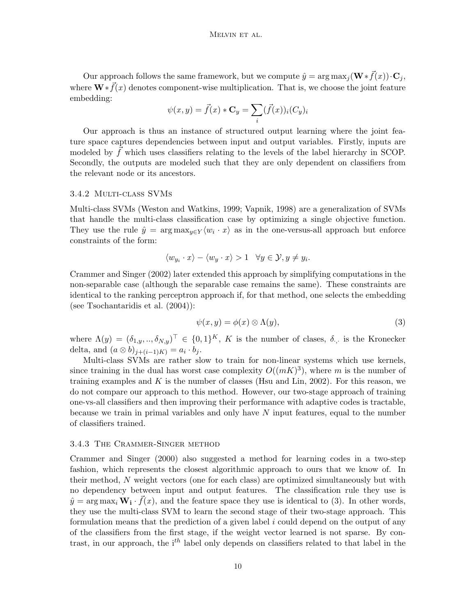Our approach follows the same framework, but we compute  $\hat{y} = \arg \max_j (\mathbf{W} * \vec{f}(x)) \cdot \mathbf{C}_j$ , where  $\mathbf{W} * \vec{f}(x)$  denotes component-wise multiplication. That is, we choose the joint feature embedding:

$$
\psi(x,y) = \vec{f}(x) * \mathbf{C}_y = \sum_i (\vec{f}(x))_i (C_y)_i
$$

Our approach is thus an instance of structured output learning where the joint feature space captures dependencies between input and output variables. Firstly, inputs are modeled by  $\ddot{f}$  which uses classifiers relating to the levels of the label hierarchy in SCOP. Secondly, the outputs are modeled such that they are only dependent on classifiers from the relevant node or its ancestors.

#### 3.4.2 Multi-class SVMs

Multi-class SVMs (Weston and Watkins, 1999; Vapnik, 1998) are a generalization of SVMs that handle the multi-class classification case by optimizing a single objective function. They use the rule  $\hat{y} = \arg \max_{y \in Y} \langle w_i \cdot x \rangle$  as in the one-versus-all approach but enforce constraints of the form:

$$
\langle w_{y_i} \cdot x \rangle - \langle w_y \cdot x \rangle > 1 \quad \forall y \in \mathcal{Y}, y \neq y_i.
$$

Crammer and Singer (2002) later extended this approach by simplifying computations in the non-separable case (although the separable case remains the same). These constraints are identical to the ranking perceptron approach if, for that method, one selects the embedding (see Tsochantaridis et al. (2004)):

$$
\psi(x, y) = \phi(x) \otimes \Lambda(y),\tag{3}
$$

where  $\Lambda(y) = (\delta_{1,y},..,\delta_{N,y})^{\top} \in \{0,1\}^{K}$ , K is the number of clases,  $\delta_{\cdot,\cdot}$  is the Kronecker delta, and  $(a \otimes b)_{j+(i-1)K} = a_i \cdot b_j$ .

Multi-class SVMs are rather slow to train for non-linear systems which use kernels, since training in the dual has worst case complexity  $O((mK)^3)$ , where m is the number of training examples and K is the number of classes (Hsu and Lin, 2002). For this reason, we do not compare our approach to this method. However, our two-stage approach of training one-vs-all classifiers and then improving their performance with adaptive codes is tractable, because we train in primal variables and only have  $N$  input features, equal to the number of classifiers trained.

#### 3.4.3 The Crammer-Singer method

Crammer and Singer (2000) also suggested a method for learning codes in a two-step fashion, which represents the closest algorithmic approach to ours that we know of. In their method, N weight vectors (one for each class) are optimized simultaneously but with no dependency between input and output features. The classification rule they use is  $\hat{y} = \arg \max_i \mathbf{W_i} \cdot \vec{f}(x)$ , and the feature space they use is identical to (3). In other words, they use the multi-class SVM to learn the second stage of their two-stage approach. This formulation means that the prediction of a given label  $i$  could depend on the output of any of the classifiers from the first stage, if the weight vector learned is not sparse. By contrast, in our approach, the  $i<sup>th</sup>$  label only depends on classifiers related to that label in the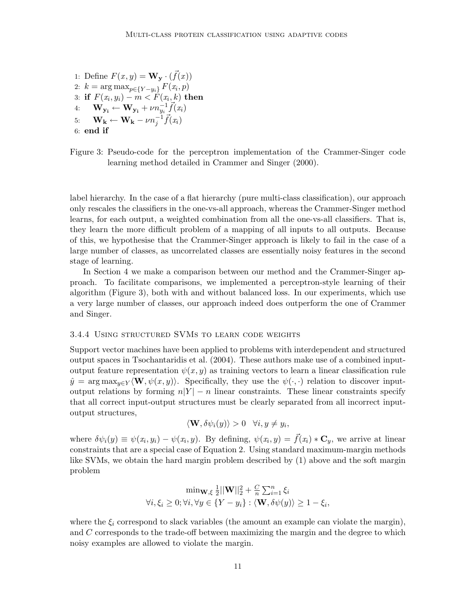1: Define  $F(x, y) = \mathbf{W}_{\mathbf{y}} \cdot (\vec{f}(x))$ 2:  $k = \arg \max_{p \in \{Y - y_i\}} F(x_i, p)$ 3: if  $F(x_i, y_i) - m < F(x_i, k)$  then 4:  $\mathbf{W_{y_i}} \leftarrow \mathbf{W_{y_i}} + \nu n_{y_i}^{-1} \vec{f}(x_i)$ 5:  $\mathbf{W_k} \leftarrow \mathbf{W_k} - \nu n_j^{-1} \vec{f}(x_i)$ 6: end if

Figure 3: Pseudo-code for the perceptron implementation of the Crammer-Singer code learning method detailed in Crammer and Singer (2000).

label hierarchy. In the case of a flat hierarchy (pure multi-class classification), our approach only rescales the classifiers in the one-vs-all approach, whereas the Crammer-Singer method learns, for each output, a weighted combination from all the one-vs-all classifiers. That is, they learn the more difficult problem of a mapping of all inputs to all outputs. Because of this, we hypothesise that the Crammer-Singer approach is likely to fail in the case of a large number of classes, as uncorrelated classes are essentially noisy features in the second stage of learning.

In Section 4 we make a comparison between our method and the Crammer-Singer approach. To facilitate comparisons, we implemented a perceptron-style learning of their algorithm (Figure 3), both with and without balanced loss. In our experiments, which use a very large number of classes, our approach indeed does outperform the one of Crammer and Singer.

## 3.4.4 Using structured SVMs to learn code weights

Support vector machines have been applied to problems with interdependent and structured output spaces in Tsochantaridis et al. (2004). These authors make use of a combined inputoutput feature representation  $\psi(x, y)$  as training vectors to learn a linear classification rule  $\hat{y} = \arg \max_{y \in Y} \langle \mathbf{W}, \psi(x, y) \rangle$ . Specifically, they use the  $\psi(\cdot, \cdot)$  relation to discover inputoutput relations by forming  $n|Y| - n$  linear constraints. These linear constraints specify that all correct input-output structures must be clearly separated from all incorrect inputoutput structures,

$$
\langle \mathbf{W}, \delta \psi_i(y) \rangle > 0 \quad \forall i, y \neq y_i,
$$

where  $\delta \psi_i(y) \equiv \psi(x_i, y_i) - \psi(x_i, y)$ . By defining,  $\psi(x_i, y) = \vec{f}(x_i) * \mathbf{C}_y$ , we arrive at linear constraints that are a special case of Equation 2. Using standard maximum-margin methods like SVMs, we obtain the hard margin problem described by (1) above and the soft margin problem

$$
\min_{\mathbf{W}, \xi} \frac{1}{2} ||\mathbf{W}||_2^2 + \frac{C}{n} \sum_{i=1}^n \xi_i
$$
  

$$
\forall i, \xi_i \ge 0; \forall i, \forall y \in \{Y - y_i\} : \langle \mathbf{W}, \delta \psi(y) \rangle \ge 1 - \xi_i,
$$

where the  $\xi_i$  correspond to slack variables (the amount an example can violate the margin), and C corresponds to the trade-off between maximizing the margin and the degree to which noisy examples are allowed to violate the margin.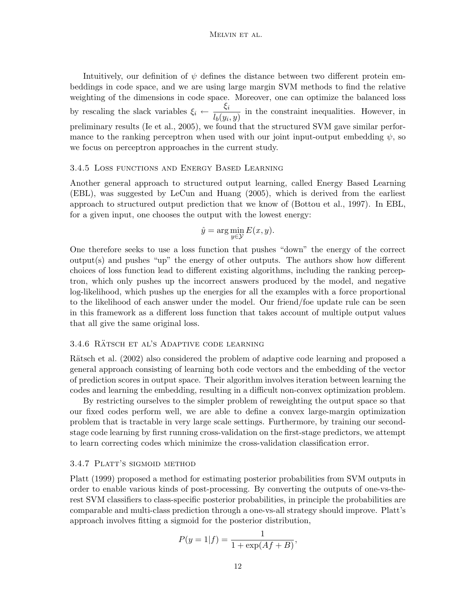Intuitively, our definition of  $\psi$  defines the distance between two different protein embeddings in code space, and we are using large margin SVM methods to find the relative weighting of the dimensions in code space. Moreover, one can optimize the balanced loss by rescaling the slack variables  $\xi_i \leftarrow \frac{\xi_i}{I(i)}$  $\frac{\mathcal{S}^i}{l_b(y_i, y)}$  in the constraint inequalities. However, in preliminary results (Ie et al., 2005), we found that the structured SVM gave similar performance to the ranking perceptron when used with our joint input-output embedding  $\psi$ , so we focus on perceptron approaches in the current study.

#### 3.4.5 Loss functions and Energy Based Learning

Another general approach to structured output learning, called Energy Based Learning (EBL), was suggested by LeCun and Huang (2005), which is derived from the earliest approach to structured output prediction that we know of (Bottou et al., 1997). In EBL, for a given input, one chooses the output with the lowest energy:

$$
\hat{y} = \arg\min_{y \in \mathcal{Y}} E(x, y).
$$

One therefore seeks to use a loss function that pushes "down" the energy of the correct  $output(s)$  and pushes "up" the energy of other outputs. The authors show how different choices of loss function lead to different existing algorithms, including the ranking perceptron, which only pushes up the incorrect answers produced by the model, and negative log-likelihood, which pushes up the energies for all the examples with a force proportional to the likelihood of each answer under the model. Our friend/foe update rule can be seen in this framework as a different loss function that takes account of multiple output values that all give the same original loss.

#### 3.4.6 RÄTSCH ET AL'S ADAPTIVE CODE LEARNING

Rätsch et al. (2002) also considered the problem of adaptive code learning and proposed a general approach consisting of learning both code vectors and the embedding of the vector of prediction scores in output space. Their algorithm involves iteration between learning the codes and learning the embedding, resulting in a difficult non-convex optimization problem.

By restricting ourselves to the simpler problem of reweighting the output space so that our fixed codes perform well, we are able to define a convex large-margin optimization problem that is tractable in very large scale settings. Furthermore, by training our secondstage code learning by first running cross-validation on the first-stage predictors, we attempt to learn correcting codes which minimize the cross-validation classification error.

#### 3.4.7 PLATT'S SIGMOID METHOD

Platt (1999) proposed a method for estimating posterior probabilities from SVM outputs in order to enable various kinds of post-processing. By converting the outputs of one-vs-therest SVM classifiers to class-specific posterior probabilities, in principle the probabilities are comparable and multi-class prediction through a one-vs-all strategy should improve. Platt's approach involves fitting a sigmoid for the posterior distribution,

$$
P(y = 1|f) = \frac{1}{1 + \exp(Af + B)},
$$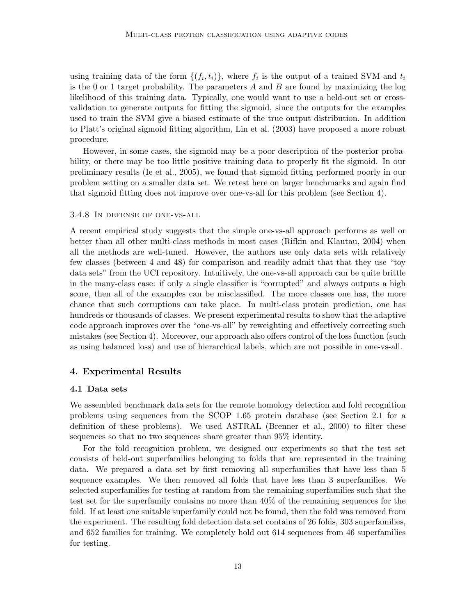using training data of the form  $\{(f_i, t_i)\}\$ , where  $f_i$  is the output of a trained SVM and  $t_i$ is the 0 or 1 target probability. The parameters  $A$  and  $B$  are found by maximizing the log likelihood of this training data. Typically, one would want to use a held-out set or crossvalidation to generate outputs for fitting the sigmoid, since the outputs for the examples used to train the SVM give a biased estimate of the true output distribution. In addition to Platt's original sigmoid fitting algorithm, Lin et al. (2003) have proposed a more robust procedure.

However, in some cases, the sigmoid may be a poor description of the posterior probability, or there may be too little positive training data to properly fit the sigmoid. In our preliminary results (Ie et al., 2005), we found that sigmoid fitting performed poorly in our problem setting on a smaller data set. We retest here on larger benchmarks and again find that sigmoid fitting does not improve over one-vs-all for this problem (see Section 4).

#### 3.4.8 In defense of one-vs-all

A recent empirical study suggests that the simple one-vs-all approach performs as well or better than all other multi-class methods in most cases (Rifkin and Klautau, 2004) when all the methods are well-tuned. However, the authors use only data sets with relatively few classes (between 4 and 48) for comparison and readily admit that that they use "toy data sets" from the UCI repository. Intuitively, the one-vs-all approach can be quite brittle in the many-class case: if only a single classifier is "corrupted" and always outputs a high score, then all of the examples can be misclassified. The more classes one has, the more chance that such corruptions can take place. In multi-class protein prediction, one has hundreds or thousands of classes. We present experimental results to show that the adaptive code approach improves over the "one-vs-all" by reweighting and effectively correcting such mistakes (see Section 4). Moreover, our approach also offers control of the loss function (such as using balanced loss) and use of hierarchical labels, which are not possible in one-vs-all.

## 4. Experimental Results

#### 4.1 Data sets

We assembled benchmark data sets for the remote homology detection and fold recognition problems using sequences from the SCOP 1.65 protein database (see Section 2.1 for a definition of these problems). We used ASTRAL (Brenner et al., 2000) to filter these sequences so that no two sequences share greater than 95% identity.

For the fold recognition problem, we designed our experiments so that the test set consists of held-out superfamilies belonging to folds that are represented in the training data. We prepared a data set by first removing all superfamilies that have less than 5 sequence examples. We then removed all folds that have less than 3 superfamilies. We selected superfamilies for testing at random from the remaining superfamilies such that the test set for the superfamily contains no more than 40% of the remaining sequences for the fold. If at least one suitable superfamily could not be found, then the fold was removed from the experiment. The resulting fold detection data set contains of 26 folds, 303 superfamilies, and 652 families for training. We completely hold out 614 sequences from 46 superfamilies for testing.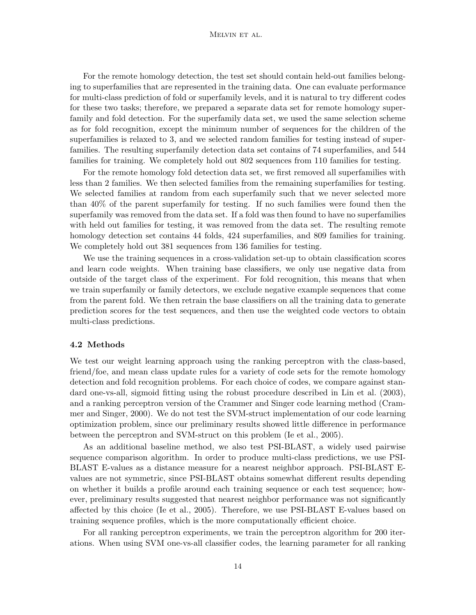### Melvin et al.

For the remote homology detection, the test set should contain held-out families belonging to superfamilies that are represented in the training data. One can evaluate performance for multi-class prediction of fold or superfamily levels, and it is natural to try different codes for these two tasks; therefore, we prepared a separate data set for remote homology superfamily and fold detection. For the superfamily data set, we used the same selection scheme as for fold recognition, except the minimum number of sequences for the children of the superfamilies is relaxed to 3, and we selected random families for testing instead of superfamilies. The resulting superfamily detection data set contains of 74 superfamilies, and 544 families for training. We completely hold out 802 sequences from 110 families for testing.

For the remote homology fold detection data set, we first removed all superfamilies with less than 2 families. We then selected families from the remaining superfamilies for testing. We selected families at random from each superfamily such that we never selected more than 40% of the parent superfamily for testing. If no such families were found then the superfamily was removed from the data set. If a fold was then found to have no superfamilies with held out families for testing, it was removed from the data set. The resulting remote homology detection set contains 44 folds, 424 superfamilies, and 809 families for training. We completely hold out 381 sequences from 136 families for testing.

We use the training sequences in a cross-validation set-up to obtain classification scores and learn code weights. When training base classifiers, we only use negative data from outside of the target class of the experiment. For fold recognition, this means that when we train superfamily or family detectors, we exclude negative example sequences that come from the parent fold. We then retrain the base classifiers on all the training data to generate prediction scores for the test sequences, and then use the weighted code vectors to obtain multi-class predictions.

#### 4.2 Methods

We test our weight learning approach using the ranking perceptron with the class-based, friend/foe, and mean class update rules for a variety of code sets for the remote homology detection and fold recognition problems. For each choice of codes, we compare against standard one-vs-all, sigmoid fitting using the robust procedure described in Lin et al. (2003), and a ranking perceptron version of the Crammer and Singer code learning method (Crammer and Singer, 2000). We do not test the SVM-struct implementation of our code learning optimization problem, since our preliminary results showed little difference in performance between the perceptron and SVM-struct on this problem (Ie et al., 2005).

As an additional baseline method, we also test PSI-BLAST, a widely used pairwise sequence comparison algorithm. In order to produce multi-class predictions, we use PSI-BLAST E-values as a distance measure for a nearest neighbor approach. PSI-BLAST Evalues are not symmetric, since PSI-BLAST obtains somewhat different results depending on whether it builds a profile around each training sequence or each test sequence; however, preliminary results suggested that nearest neighbor performance was not significantly affected by this choice (Ie et al., 2005). Therefore, we use PSI-BLAST E-values based on training sequence profiles, which is the more computationally efficient choice.

For all ranking perceptron experiments, we train the perceptron algorithm for 200 iterations. When using SVM one-vs-all classifier codes, the learning parameter for all ranking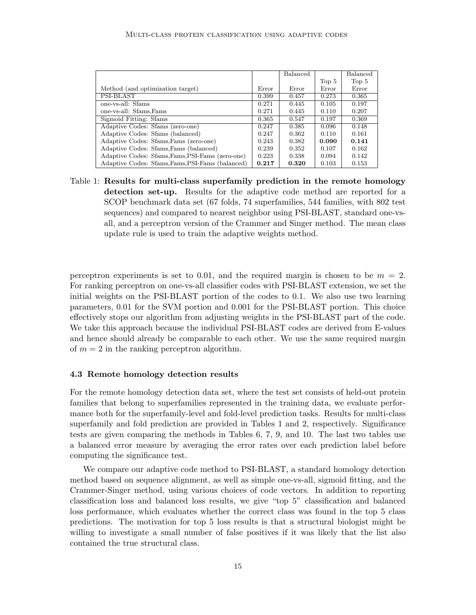|                                                  |       | <b>Balanced</b> |                  | <b>Balanced</b>  |
|--------------------------------------------------|-------|-----------------|------------------|------------------|
|                                                  |       |                 | Top <sub>5</sub> | Top <sub>5</sub> |
| Method (and optimization target)                 | Error | Error           | Error            | Error            |
| PSI-BLAST                                        | 0.399 | 0.457           | 0.273            | 0.365            |
| one-vs-all: Sfams                                | 0.271 | 0.445           | 0.105            | 0.197            |
| one-vs-all: Sfams, Fams                          | 0.271 | 0.445           | 0.110            | 0.207            |
| Sigmoid Fitting: Sfams                           | 0.365 | 0.547           | 0.197            | 0.369            |
| Adaptive Codes: Sfams (zero-one)                 | 0.247 | 0.385           | 0.096            | 0.148            |
| Adaptive Codes: Sfams (balanced)                 | 0.247 | 0.362           | 0.110            | 0.161            |
| Adaptive Codes: Sfams, Fams (zero-one)           | 0.243 | 0.382           | 0.090            | 0.141            |
| Adaptive Codes: Sfams, Fams (balanced)           | 0.239 | 0.352           | 0.107            | 0.162            |
| Adaptive Codes: Sfams, Fams, PSI-Fams (zero-one) | 0.223 | 0.338           | 0.094            | 0.142            |
| Adaptive Codes: Sfams, Fams, PSI-Fams (balanced) | 0.217 | 0.320           | 0.103            | 0.153            |

Table 1: Results for multi-class superfamily prediction in the remote homology detection set-up. Results for the adaptive code method are reported for a SCOP benchmark data set (67 folds, 74 superfamilies, 544 families, with 802 test sequences) and compared to nearest neighbor using PSI-BLAST, standard one-vsall, and a perceptron version of the Crammer and Singer method. The mean class update rule is used to train the adaptive weights method.

perceptron experiments is set to 0.01, and the required margin is chosen to be  $m = 2$ . For ranking perceptron on one-vs-all classifier codes with PSI-BLAST extension, we set the initial weights on the PSI-BLAST portion of the codes to 0.1. We also use two learning parameters, 0.01 for the SVM portion and 0.001 for the PSI-BLAST portion. This choice effectively stops our algorithm from adjusting weights in the PSI-BLAST part of the code. We take this approach because the individual PSI-BLAST codes are derived from E-values and hence should already be comparable to each other. We use the same required margin of  $m = 2$  in the ranking perceptron algorithm.

#### 4.3 Remote homology detection results

For the remote homology detection data set, where the test set consists of held-out protein families that belong to superfamilies represented in the training data, we evaluate performance both for the superfamily-level and fold-level prediction tasks. Results for multi-class superfamily and fold prediction are provided in Tables 1 and 2, respectively. Significance tests are given comparing the methods in Tables 6, 7, 9, and 10. The last two tables use a balanced error measure by averaging the error rates over each prediction label before computing the significance test.

We compare our adaptive code method to PSI-BLAST, a standard homology detection method based on sequence alignment, as well as simple one-vs-all, sigmoid fitting, and the Crammer-Singer method, using various choices of code vectors. In addition to reporting classification loss and balanced loss results, we give "top 5" classification and balanced loss performance, which evaluates whether the correct class was found in the top 5 class predictions. The motivation for top 5 loss results is that a structural biologist might be willing to investigate a small number of false positives if it was likely that the list also contained the true structural class.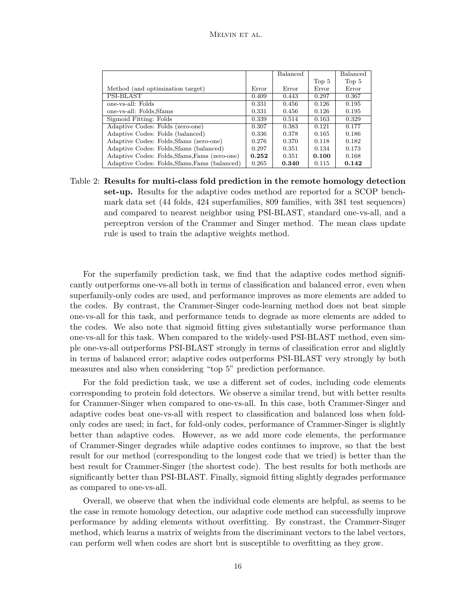|                                               |       | <b>Balanced</b> |       | Balanced |
|-----------------------------------------------|-------|-----------------|-------|----------|
|                                               |       |                 | Top 5 | Top 5    |
| Method (and optimization target)              | Error | Error           | Error | Error    |
| PSI-BLAST                                     | 0.409 | 0.443           | 0.297 | 0.367    |
| one-ys-all: Folds                             | 0.331 | 0.456           | 0.126 | 0.195    |
| one-vs-all: Folds, Sfams                      | 0.331 | 0.456           | 0.126 | 0.195    |
| Sigmoid Fitting: Folds                        | 0.339 | 0.514           | 0.163 | 0.329    |
| Adaptive Codes: Folds (zero-one)              | 0.307 | 0.383           | 0.121 | 0.177    |
| Adaptive Codes: Folds (balanced)              | 0.336 | 0.378           | 0.165 | 0.186    |
| Adaptive Codes: Folds, Sfams (zero-one)       | 0.276 | 0.370           | 0.118 | 0.182    |
| Adaptive Codes: Folds, Sfams (balanced)       | 0.297 | 0.351           | 0.134 | 0.173    |
| Adaptive Codes: Folds, Sfams, Fams (zero-one) | 0.252 | 0.351           | 0.100 | 0.168    |
| Adaptive Codes: Folds, Sfams, Fams (balanced) | 0.265 | 0.340           | 0.115 | 0.142    |

Table 2: Results for multi-class fold prediction in the remote homology detection set-up. Results for the adaptive codes method are reported for a SCOP benchmark data set (44 folds, 424 superfamilies, 809 families, with 381 test sequences) and compared to nearest neighbor using PSI-BLAST, standard one-vs-all, and a perceptron version of the Crammer and Singer method. The mean class update rule is used to train the adaptive weights method.

For the superfamily prediction task, we find that the adaptive codes method significantly outperforms one-vs-all both in terms of classification and balanced error, even when superfamily-only codes are used, and performance improves as more elements are added to the codes. By contrast, the Crammer-Singer code-learning method does not beat simple one-vs-all for this task, and performance tends to degrade as more elements are added to the codes. We also note that sigmoid fitting gives substantially worse performance than one-vs-all for this task. When compared to the widely-used PSI-BLAST method, even simple one-vs-all outperforms PSI-BLAST strongly in terms of classification error and slightly in terms of balanced error; adaptive codes outperforms PSI-BLAST very strongly by both measures and also when considering "top 5" prediction performance.

For the fold prediction task, we use a different set of codes, including code elements corresponding to protein fold detectors. We observe a similar trend, but with better results for Crammer-Singer when compared to one-vs-all. In this case, both Crammer-Singer and adaptive codes beat one-vs-all with respect to classification and balanced loss when foldonly codes are used; in fact, for fold-only codes, performance of Crammer-Singer is slightly better than adaptive codes. However, as we add more code elements, the performance of Crammer-Singer degrades while adaptive codes continues to improve, so that the best result for our method (corresponding to the longest code that we tried) is better than the best result for Crammer-Singer (the shortest code). The best results for both methods are significantly better than PSI-BLAST. Finally, sigmoid fitting slightly degrades performance as compared to one-vs-all.

Overall, we observe that when the individual code elements are helpful, as seems to be the case in remote homology detection, our adaptive code method can successfully improve performance by adding elements without overfitting. By constrast, the Crammer-Singer method, which learns a matrix of weights from the discriminant vectors to the label vectors, can perform well when codes are short but is susceptible to overfitting as they grow.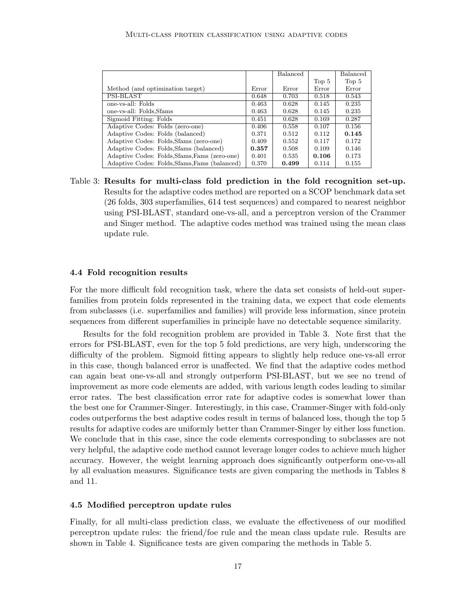|                                               |       | Balanced |                  | <b>Balanced</b> |
|-----------------------------------------------|-------|----------|------------------|-----------------|
|                                               |       |          | Top <sub>5</sub> | Top 5           |
| Method (and optimization target)              | Error | Error    | Error            | Error           |
| PSI-BLAST                                     | 0.648 | 0.703    | 0.518            | 0.543           |
| one-ys-all: Folds                             | 0.463 | 0.628    | 0.145            | 0.235           |
| one-vs-all: Folds, Sfams                      | 0.463 | 0.628    | 0.145            | 0.235           |
| Sigmoid Fitting: Folds                        | 0.451 | 0.628    | 0.169            | 0.287           |
| Adaptive Codes: Folds (zero-one)              | 0.406 | 0.558    | 0.107            | 0.156           |
| Adaptive Codes: Folds (balanced)              | 0.371 | 0.512    | 0.112            | 0.145           |
| Adaptive Codes: Folds, Sfams (zero-one)       | 0.409 | 0.552    | 0.117            | 0.172           |
| Adaptive Codes: Folds, Sfams (balanced)       | 0.357 | 0.508    | 0.109            | 0.146           |
| Adaptive Codes: Folds, Sfams, Fams (zero-one) | 0.401 | 0.535    | 0.106            | 0.173           |
| Adaptive Codes: Folds, Sfams, Fams (balanced) | 0.370 | 0.499    | 0.114            | 0.155           |

Table 3: Results for multi-class fold prediction in the fold recognition set-up. Results for the adaptive codes method are reported on a SCOP benchmark data set (26 folds, 303 superfamilies, 614 test sequences) and compared to nearest neighbor using PSI-BLAST, standard one-vs-all, and a perceptron version of the Crammer and Singer method. The adaptive codes method was trained using the mean class update rule.

#### 4.4 Fold recognition results

For the more difficult fold recognition task, where the data set consists of held-out superfamilies from protein folds represented in the training data, we expect that code elements from subclasses (i.e. superfamilies and families) will provide less information, since protein sequences from different superfamilies in principle have no detectable sequence similarity.

Results for the fold recognition problem are provided in Table 3. Note first that the errors for PSI-BLAST, even for the top 5 fold predictions, are very high, underscoring the difficulty of the problem. Sigmoid fitting appears to slightly help reduce one-vs-all error in this case, though balanced error is unaffected. We find that the adaptive codes method can again beat one-vs-all and strongly outperform PSI-BLAST, but we see no trend of improvement as more code elements are added, with various length codes leading to similar error rates. The best classification error rate for adaptive codes is somewhat lower than the best one for Crammer-Singer. Interestingly, in this case, Crammer-Singer with fold-only codes outperforms the best adaptive codes result in terms of balanced loss, though the top 5 results for adaptive codes are uniformly better than Crammer-Singer by either loss function. We conclude that in this case, since the code elements corresponding to subclasses are not very helpful, the adaptive code method cannot leverage longer codes to achieve much higher accuracy. However, the weight learning approach does significantly outperform one-vs-all by all evaluation measures. Significance tests are given comparing the methods in Tables 8 and 11.

#### 4.5 Modified perceptron update rules

Finally, for all multi-class prediction class, we evaluate the effectiveness of our modified perceptron update rules: the friend/foe rule and the mean class update rule. Results are shown in Table 4. Significance tests are given comparing the methods in Table 5.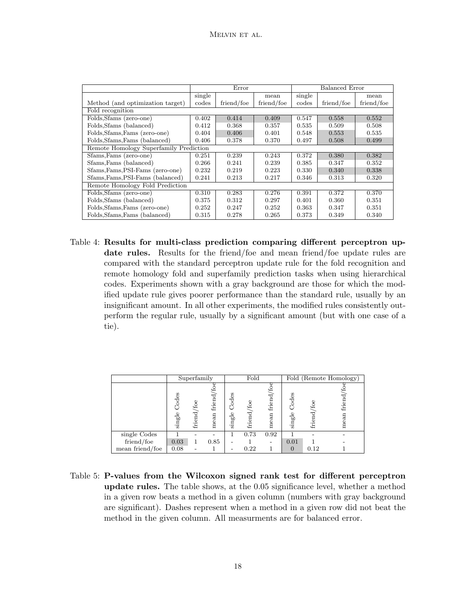|                                        |        | Error      |            |        | Balanced Error |            |  |
|----------------------------------------|--------|------------|------------|--------|----------------|------------|--|
|                                        | single |            | mean       | single |                | mean       |  |
| Method (and optimization target)       | codes  | friend/foe | friend/foe | codes  | friend/foe     | friend/foe |  |
| Fold recognition                       |        |            |            |        |                |            |  |
| Folds, Sfams (zero-one)                | 0.402  | 0.414      | 0.409      | 0.547  | 0.558          | 0.552      |  |
| Folds, Sfams (balanced)                | 0.412  | 0.368      | 0.357      | 0.535  | 0.509          | 0.508      |  |
| Folds, Sfams, Fams (zero-one)          | 0.404  | 0.406      | 0.401      | 0.548  | 0.553          | 0.535      |  |
| Folds, Sfams, Fams (balanced)          | 0.406  | 0.378      | 0.370      | 0.497  | 0.508          | 0.499      |  |
| Remote Homology Superfamily Prediction |        |            |            |        |                |            |  |
| Sfams, Fams (zero-one)                 | 0.251  | 0.239      | 0.243      | 0.372  | 0.380          | 0.382      |  |
| Sfams, Fams (balanced)                 | 0.266  | 0.241      | 0.239      | 0.385  | 0.347          | 0.352      |  |
| Sfams, Fams, PSI-Fams (zero-one)       | 0.232  | 0.219      | 0.223      | 0.330  | 0.340          | 0.338      |  |
| Sfams, Fams, PSI-Fams (balanced)       | 0.241  | 0.213      | 0.217      | 0.346  | 0.313          | 0.320      |  |
| Remote Homology Fold Prediction        |        |            |            |        |                |            |  |
| Folds, Sfams (zero-one)                | 0.310  | 0.283      | 0.276      | 0.391  | 0.372          | 0.370      |  |
| Folds, Sfams (balanced)                | 0.375  | 0.312      | 0.297      | 0.401  | 0.360          | 0.351      |  |
| Folds, Sfams, Fams (zero-one)          | 0.252  | 0.247      | 0.252      | 0.363  | 0.347          | 0.351      |  |
| Folds, Sfams, Fams (balanced)          | 0.315  | 0.278      | 0.265      | 0.373  | 0.349          | 0.340      |  |

Table 4: Results for multi-class prediction comparing different perceptron update rules. Results for the friend/foe and mean friend/foe update rules are compared with the standard perceptron update rule for the fold recognition and remote homology fold and superfamily prediction tasks when using hierarchical codes. Experiments shown with a gray background are those for which the modified update rule gives poorer performance than the standard rule, usually by an insignificant amount. In all other experiments, the modified rules consistently outperform the regular rule, usually by a significant amount (but with one case of a tie).

|                 |                    | Superfamily     |                     |                      | Fold         |                |                      |              | Fold (Remote Homology) |
|-----------------|--------------------|-----------------|---------------------|----------------------|--------------|----------------|----------------------|--------------|------------------------|
|                 | Codes<br>$sing$ le | /foe<br>friend, | ఛ<br>friend<br>mean | $\c{Code}$<br>single | Č,<br>friend | friend<br>mean | $\c{Code}$<br>single | _Č<br>friend | friend<br>mean         |
| $single$ Codes  |                    |                 |                     |                      | 0.73         | 0.92           |                      |              |                        |
| friend/foe      | 0.03               |                 | 0.85                |                      |              |                | 0.01                 |              |                        |
| mean friend/foe | 0.08               |                 |                     |                      | 0.22         |                | $\Omega$             | 0.12         |                        |

Table 5: P-values from the Wilcoxon signed rank test for different perceptron update rules. The table shows, at the 0.05 significance level, whether a method in a given row beats a method in a given column (numbers with gray background are significant). Dashes represent when a method in a given row did not beat the method in the given column. All measurments are for balanced error.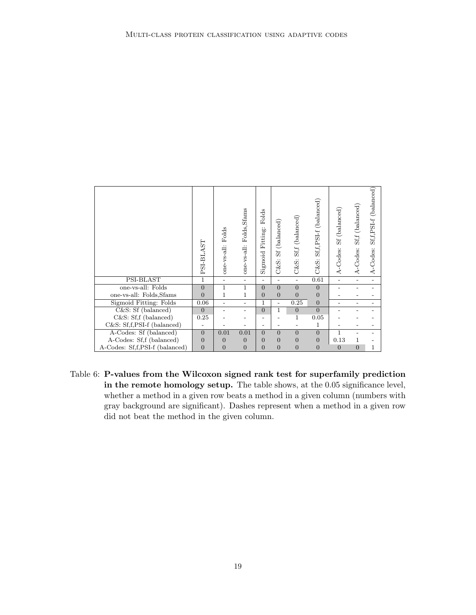|                                | PSI-BLAST        | Folds<br>one-vs-all: | Folds, Sfams<br>one-vs-all: | Folds<br>${\rm Fitting:}$<br>Sigmoid | (balanced)<br>SS<br>C&S: | $Sf, f$ (balanced)<br>$C\&S:$ | Sf,f,PSI-f (balanced)<br>$C\&S:$ | (balanced)<br>$3\mathrm{S}$<br>A-Codes: | (balanced)<br>$\rm Sff$<br>A-Codes: | (balanced)<br>$Sf,f,PSI-f$<br>A-Codes: |
|--------------------------------|------------------|----------------------|-----------------------------|--------------------------------------|--------------------------|-------------------------------|----------------------------------|-----------------------------------------|-------------------------------------|----------------------------------------|
| PSI-BLAST                      | $\mathbf{1}$     |                      | $\overline{a}$              | $\overline{\phantom{0}}$             |                          | $\overline{\phantom{0}}$      | 0.61                             |                                         |                                     |                                        |
| one-vs-all: Folds              | $\overline{0}$   | 1                    | $\mathbf{1}$                | $\overline{0}$                       | $\overline{0}$           | $\overline{0}$                | $\overline{0}$                   |                                         |                                     |                                        |
| one-vs-all: Folds, Sfams       | $\overline{0}$   | 1                    | 1                           | $\mathbf{0}$                         | $\overline{0}$           | $\overline{0}$                | $\overline{0}$                   |                                         |                                     |                                        |
| Sigmoid Fitting: Folds         | 0.06             |                      | $\overline{\phantom{0}}$    | $\mathbf 1$                          | $\overline{a}$           | 0.25                          | $\overline{0}$                   |                                         |                                     |                                        |
| C&S: Sf (balanced)             | $\overline{0}$   |                      | $\overline{\phantom{0}}$    | $\overline{0}$                       | 1                        | $\overline{0}$                | $\overline{0}$                   |                                         |                                     |                                        |
| $C&S: Sf, f$ (balanced)        | 0.25             |                      |                             | $\overline{\phantom{a}}$             |                          | 1                             | 0.05                             |                                         |                                     |                                        |
| C&S: Sf,f,PSI-f (balanced)     |                  |                      |                             | $\overline{\phantom{0}}$             |                          |                               | 1                                |                                         |                                     |                                        |
| A-Codes: Sf (balanced)         | $\overline{0}$   | 0.01                 | 0.01                        | $\overline{0}$                       | $\overline{0}$           | $\overline{0}$                | $\overline{0}$                   | $\mathbf{1}$                            |                                     |                                        |
| A-Codes: Sf,f (balanced)       | $\overline{0}$   | $\overline{0}$       | $\overline{0}$              | $\overline{0}$                       | $\overline{0}$           | $\overline{0}$                | $\overline{0}$                   | 0.13                                    |                                     |                                        |
| A-Codes: Sf,f,PSI-f (balanced) | $\boldsymbol{0}$ | $\overline{0}$       | $\overline{0}$              | $\overline{0}$                       | $\overline{0}$           | $\overline{0}$                | $\overline{0}$                   | $\overline{0}$                          | $\overline{0}$                      | 1                                      |

Table 6: P-values from the Wilcoxon signed rank test for superfamily prediction in the remote homology setup. The table shows, at the 0.05 significance level, whether a method in a given row beats a method in a given column (numbers with gray background are significant). Dashes represent when a method in a given row did not beat the method in the given column.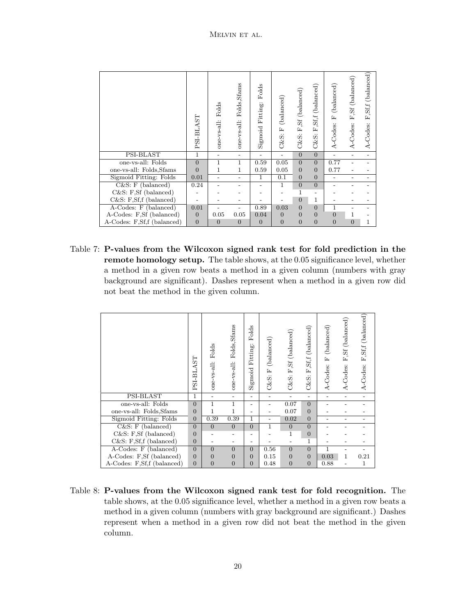|                            | PSI-BLAST      | Folds<br>one-vs-all: | Folds, Sfams<br>one-vs-all: | Folds<br>Fitting:<br>Sigmoid | (balanced)<br>ſъ,<br>$C\&S:$ | F,Sf (balanced)<br>C&S: | Sf,f (balanced),<br>Ĺ.<br>$C\&S:$ | (balanced)<br>ſı,<br>A-Codes: | ,Sf (balanced)<br>Ĺ.<br>A-Codes: | (balanced)<br>St, f<br>ſъ,<br>A-Codes: |
|----------------------------|----------------|----------------------|-----------------------------|------------------------------|------------------------------|-------------------------|-----------------------------------|-------------------------------|----------------------------------|----------------------------------------|
| PSI-BLAST                  | $\mathbf{1}$   |                      |                             |                              | $\overline{\phantom{0}}$     | $\overline{0}$          | $\overline{0}$                    | $\overline{\phantom{0}}$      |                                  |                                        |
| one-vs-all: Folds          | $\overline{0}$ | $\mathbf{1}$         | $\mathbf{1}$                | 0.59                         | 0.05                         | $\overline{0}$          | $\overline{0}$                    | 0.77                          |                                  |                                        |
| one-vs-all: Folds, Sfams   | $\overline{0}$ | 1                    | 1                           | 0.59                         | 0.05                         | $\overline{0}$          | $\overline{0}$                    | 0.77                          |                                  |                                        |
| Sigmoid Fitting: Folds     | 0.01           |                      |                             | $\mathbf{1}$                 | 0.1                          | $\overline{0}$          | $\overline{0}$                    |                               |                                  |                                        |
| $C&S: F$ (balanced)        | 0.24           |                      |                             |                              | 1                            | $\overline{0}$          | $\overline{0}$                    |                               |                                  |                                        |
| $C&S: F,Sf$ (balanced)     |                |                      |                             |                              |                              | $\mathbf{1}$            | $\qquad \qquad -$                 |                               |                                  |                                        |
| C&S: F,Sf,f (balanced)     |                |                      |                             |                              |                              | $\overline{0}$          | 1                                 |                               |                                  |                                        |
| A-Codes: F (balanced)      | 0.01           |                      |                             | 0.89                         | 0.03                         | $\overline{0}$          | $\overline{0}$                    | 1                             |                                  |                                        |
| A-Codes: F,Sf (balanced)   | $\overline{0}$ | 0.05                 | 0.05                        | 0.04                         | $\overline{0}$               | $\overline{0}$          | $\overline{0}$                    | $\overline{0}$                | 1                                |                                        |
| A-Codes: F,Sf,f (balanced) | $\overline{0}$ | $\overline{0}$       | $\overline{0}$              | $\overline{0}$               | $\overline{0}$               | $\overline{0}$          | $\overline{0}$                    | $\overline{0}$                | $\overline{0}$                   | 1                                      |

Table 7: P-values from the Wilcoxon signed rank test for fold prediction in the remote homology setup. The table shows, at the 0.05 significance level, whether a method in a given row beats a method in a given column (numbers with gray background are significant). Dashes represent when a method in a given row did not beat the method in the given column.

|                            | SI-BLAST<br>$\mathbf{r}$ | Folds<br>one-vs-all: | Folds, Sfams<br>one-vs-all: | Folds<br>Fitting:<br>Sigmoid | (balanced)<br>ĹΔ,<br>C&S: | C&S: F,Sf (balanced) | (balanced)<br>$\operatorname{Sf,f}$<br>ſц<br>&S:<br>O | (balanced)<br>$\mathbb{E}_1$<br>A-Codes: | (balanced)<br>F.Sf<br>A-Codes: | F,Sf,f (balanced)<br>A-Codes: |
|----------------------------|--------------------------|----------------------|-----------------------------|------------------------------|---------------------------|----------------------|-------------------------------------------------------|------------------------------------------|--------------------------------|-------------------------------|
| PSI-BLAST                  | 1                        |                      | $\overline{\phantom{0}}$    | $\overline{\phantom{0}}$     |                           |                      | $\overline{\phantom{0}}$                              |                                          | $\overline{\phantom{0}}$       |                               |
| one-vs-all: Folds          | $\Omega$                 | 1                    | $\mathbf{1}$                | $\overline{\phantom{0}}$     |                           | 0.07                 | $\Omega$                                              |                                          |                                |                               |
| one-vs-all: Folds, Sfams   | $\Omega$                 | 1                    | 1                           |                              |                           | 0.07                 | $\Omega$                                              |                                          |                                |                               |
| Sigmoid Fitting: Folds     | $\Omega$                 | 0.39                 | 0.39                        | 1                            |                           | 0.02                 | $\overline{0}$                                        |                                          |                                |                               |
| $C&S: F$ (balanced)        | $\Omega$                 | $\overline{0}$       | $\overline{0}$              | $\overline{0}$               | 1                         | $\overline{0}$       | $\overline{0}$                                        |                                          |                                |                               |
| C&S: F,Sf (balanced)       | $\Omega$                 |                      |                             | $\overline{\phantom{0}}$     |                           | 1                    | $\Omega$                                              |                                          |                                |                               |
| $C&S: F,Sf,f$ (balanced)   | $\Omega$                 |                      |                             |                              |                           |                      | 1                                                     |                                          |                                |                               |
| A-Codes: F (balanced)      | $\Omega$                 | $\overline{0}$       | $\overline{0}$              | $\Omega$                     | 0.56                      | $\overline{0}$       | $\Omega$                                              | 1                                        |                                |                               |
| A-Codes: F,Sf (balanced)   | $\Omega$                 | $\overline{0}$       | $\overline{0}$              | $\Omega$                     | 0.15                      | $\overline{0}$       | $\Omega$                                              | 0.03                                     | 1                              | 0.21                          |
| A-Codes: F,Sf,f (balanced) | $\Omega$                 | $\overline{0}$       | $\overline{0}$              | $\Omega$                     | 0.48                      | $\overline{0}$       | $\overline{0}$                                        | 0.88                                     |                                | 1                             |

Table 8: P-values from the Wilcoxon signed rank test for fold recognition. The table shows, at the 0.05 significance level, whether a method in a given row beats a method in a given column (numbers with gray background are significant.) Dashes represent when a method in a given row did not beat the method in the given column.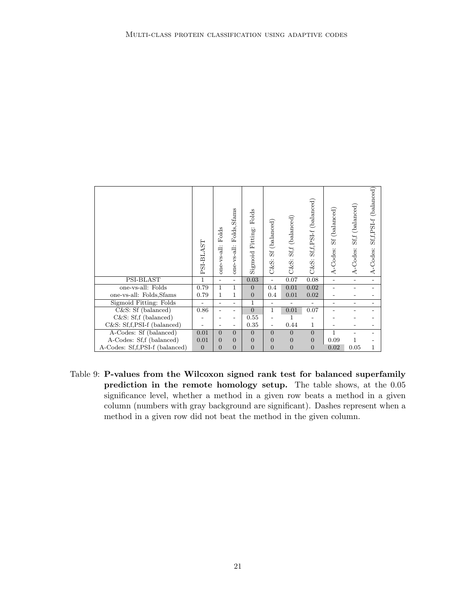|                                | PSI-BLAST        | Folds<br>$one-vs-all:$   | Folds, Sfams<br>one-vs-all: | Folds<br>Fitting:<br>Sigmoid | (balanced)<br>35<br>C&S: | Sf,f (balanced)<br>$C\&S:$ | (balanced)<br>$St.f.PSI-f$<br>$C\&S:$ | (balanced<br>35<br>A-Codes: | (balanced)<br>St.f.<br>A-Codes: | (balanced)<br>$St, f, PSI-f$<br>A-Codes: |
|--------------------------------|------------------|--------------------------|-----------------------------|------------------------------|--------------------------|----------------------------|---------------------------------------|-----------------------------|---------------------------------|------------------------------------------|
| PSI-BLAST                      | 1                | $\overline{\phantom{0}}$ |                             | 0.03                         |                          | 0.07                       | 0.08                                  | $\overline{\phantom{0}}$    |                                 |                                          |
| one-vs-all: Folds              | 0.79             | $\mathbf{1}$             | 1                           | $\overline{0}$               | 0.4                      | 0.01                       | 0.02                                  |                             |                                 |                                          |
| one-vs-all: Folds, Sfams       | 0.79             | 1                        | $\mathbf{1}$                | $\overline{0}$               | 0.4                      | 0.01                       | 0.02                                  |                             |                                 |                                          |
| Sigmoid Fitting: Folds         |                  |                          |                             | 1                            |                          |                            | $\overline{\phantom{0}}$              |                             |                                 |                                          |
| C&S: Sf (balanced)             | 0.86             |                          |                             | $\overline{0}$               | 1                        | 0.01                       | 0.07                                  |                             |                                 |                                          |
| $C&S: Sf, f$ (balanced)        |                  |                          |                             | 0.55                         |                          | 1                          |                                       |                             |                                 |                                          |
| $C&S: Sf,f.PSI-f$ (balanced)   |                  |                          |                             | 0.35                         |                          | 0.44                       | 1                                     |                             |                                 |                                          |
| A-Codes: Sf (balanced)         | 0.01             | $\Omega$                 | $\overline{0}$              | $\theta$                     | $\overline{0}$           | $\overline{0}$             | $\overline{0}$                        | 1                           |                                 |                                          |
| A-Codes: Sf,f (balanced)       | 0.01             | $\Omega$                 | $\overline{0}$              | $\overline{0}$               | $\overline{0}$           | $\overline{0}$             | $\theta$                              | 0.09                        |                                 |                                          |
| A-Codes: Sf,f,PSI-f (balanced) | $\boldsymbol{0}$ | $\overline{0}$           | $\overline{0}$              | $\overline{0}$               | $\overline{0}$           | $\overline{0}$             | $\overline{0}$                        | 0.02                        | 0.05                            | 1                                        |

Table 9: P-values from the Wilcoxon signed rank test for balanced superfamily prediction in the remote homology setup. The table shows, at the 0.05 significance level, whether a method in a given row beats a method in a given column (numbers with gray background are significant). Dashes represent when a method in a given row did not beat the method in the given column.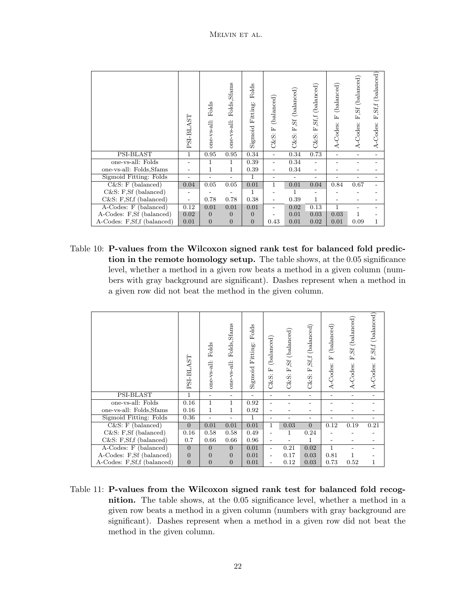|                            | PSI-BLAST | Folds<br>one-vs-all: | Folds, Sfams<br>one-vs-all: | Folds<br>Fitting:<br>Sigmoid | (balanced)<br>$\mathbb{E}$<br>C&S: | Sf (balanced)<br>Ĺ.<br>$C\&S$ : | (balanced)<br>$\operatorname{Sf}_i$<br>匤<br>$C\&S$ : | (balanced)<br>国<br>A-Codes: | F,Sf (balanced)<br>A-Codes: | (balanced)<br>$\mathbf{F},\mathbf{S}\mathbf{f},\mathbf{f}$<br>A-Codes: |
|----------------------------|-----------|----------------------|-----------------------------|------------------------------|------------------------------------|---------------------------------|------------------------------------------------------|-----------------------------|-----------------------------|------------------------------------------------------------------------|
| PSI-BLAST                  | 1         | 0.95                 | 0.95                        | 0.34                         | $\overline{a}$                     | 0.34                            | 0.73                                                 |                             |                             |                                                                        |
| one-vs-all: Folds          |           | 1                    | 1                           | 0.39                         | $\overline{a}$                     | 0.34                            |                                                      |                             |                             |                                                                        |
| one-vs-all: Folds, Sfams   |           | 1                    | $\mathbf{1}$                | 0.39                         | $\overline{\phantom{0}}$           | 0.34                            |                                                      |                             |                             |                                                                        |
| Sigmoid Fitting: Folds     |           |                      |                             | 1                            | -                                  |                                 |                                                      |                             |                             |                                                                        |
| $C&S: F$ (balanced)        | 0.04      | 0.05                 | 0.05                        | 0.01                         | $\mathbf{1}$                       | 0.01                            | 0.04                                                 | 0.84                        | 0.67                        |                                                                        |
| $C&S: F,Sf$ (balanced)     |           |                      |                             | $\mathbf{1}$                 |                                    | 1                               |                                                      |                             |                             |                                                                        |
| $C&S: F,Sf,f$ (balanced)   |           | 0.78                 | 0.78                        | 0.38                         | $\overline{\phantom{0}}$           | 0.39                            | 1                                                    |                             |                             |                                                                        |
| $A-Codes: F (balanced)$    | 0.12      | 0.01                 | 0.01                        | 0.01                         | -                                  | 0.02                            | 0.13                                                 | $\mathbf{1}$                |                             |                                                                        |
| A-Codes: F,Sf (balanced)   | 0.02      | $\mathbf{0}$         | $\theta$                    | $\overline{0}$               |                                    | 0.01                            | 0.03                                                 | 0.03                        | 1                           |                                                                        |
| A-Codes: F,Sf,f (balanced) | 0.01      | $\overline{0}$       | $\overline{0}$              | $\overline{0}$               | 0.43                               | 0.01                            | 0.02                                                 | 0.01                        | 0.09                        | 1                                                                      |

Table 10: P-values from the Wilcoxon signed rank test for balanced fold prediction in the remote homology setup. The table shows, at the 0.05 significance level, whether a method in a given row beats a method in a given column (numbers with gray background are significant). Dashes represent when a method in a given row did not beat the method in the given column.

|                            | PSI-BLAST      | Folds<br>one-vs-all: | Folds, Sfams<br>one-vs-all: | Folds<br>Fitting:<br>Sigmoid | (balanced)<br>匤<br>$C\&S:$ | F,Sf (balanced)<br>C&S: | F,Sf,f (balanced)<br>C&S: | (balanced)<br>国<br>A-Codes: | (balanced)<br>5f<br>国<br>A-Codes: | F,Sf,f (balanced)<br>A-Codes: |
|----------------------------|----------------|----------------------|-----------------------------|------------------------------|----------------------------|-------------------------|---------------------------|-----------------------------|-----------------------------------|-------------------------------|
| PSI-BLAST                  | 1              |                      |                             |                              |                            |                         | $\overline{\phantom{0}}$  | $\overline{\phantom{0}}$    |                                   |                               |
| one-vs-all: Folds          | 0.16           | $\mathbf{1}$         | 1                           | 0.92                         |                            |                         |                           |                             |                                   |                               |
| one-vs-all: Folds, Sfams   | 0.16           | $\mathbf{1}$         | $\mathbf{1}$                | 0.92                         |                            |                         |                           |                             |                                   |                               |
| Sigmoid Fitting: Folds     | 0.36           |                      |                             | $\mathbf{1}$                 |                            |                         |                           |                             |                                   |                               |
| $C&S: F$ (balanced)        | $\overline{0}$ | 0.01                 | 0.01                        | 0.01                         | 1                          | 0.03                    | $\overline{0}$            | 0.12                        | 0.19                              | 0.21                          |
| $C&S: F,Sf$ (balanced)     | 0.16           | 0.58                 | 0.58                        | 0.49                         |                            | 1                       | 0.24                      |                             |                                   |                               |
| $C&S: F,Sf,f$ (balanced)   | 0.7            | 0.66                 | 0.66                        | 0.96                         |                            |                         | 1                         |                             |                                   |                               |
| A-Codes: F (balanced)      | $\overline{0}$ | $\theta$             | $\theta$                    | 0.01                         | $\overline{\phantom{0}}$   | 0.21                    | 0.02                      | $\mathbf{1}$                |                                   |                               |
| A-Codes: F,Sf (balanced)   | $\overline{0}$ | $\overline{0}$       | $\overline{0}$              | 0.01                         |                            | 0.17                    | 0.03                      | 0.81                        | 1                                 |                               |
| A-Codes: F,Sf,f (balanced) | $\mathbf{0}$   | $\overline{0}$       | $\overline{0}$              | 0.01                         |                            | 0.12                    | 0.03                      | 0.73                        | 0.52                              |                               |

Table 11: P-values from the Wilcoxon signed rank test for balanced fold recognition. The table shows, at the 0.05 significance level, whether a method in a given row beats a method in a given column (numbers with gray background are significant). Dashes represent when a method in a given row did not beat the method in the given column.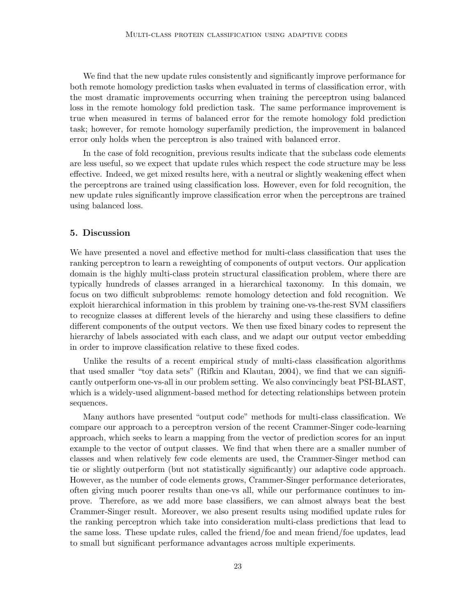We find that the new update rules consistently and significantly improve performance for both remote homology prediction tasks when evaluated in terms of classification error, with the most dramatic improvements occurring when training the perceptron using balanced loss in the remote homology fold prediction task. The same performance improvement is true when measured in terms of balanced error for the remote homology fold prediction task; however, for remote homology superfamily prediction, the improvement in balanced error only holds when the perceptron is also trained with balanced error.

In the case of fold recognition, previous results indicate that the subclass code elements are less useful, so we expect that update rules which respect the code structure may be less effective. Indeed, we get mixed results here, with a neutral or slightly weakening effect when the perceptrons are trained using classification loss. However, even for fold recognition, the new update rules significantly improve classification error when the perceptrons are trained using balanced loss.

## 5. Discussion

We have presented a novel and effective method for multi-class classification that uses the ranking perceptron to learn a reweighting of components of output vectors. Our application domain is the highly multi-class protein structural classification problem, where there are typically hundreds of classes arranged in a hierarchical taxonomy. In this domain, we focus on two difficult subproblems: remote homology detection and fold recognition. We exploit hierarchical information in this problem by training one-vs-the-rest SVM classifiers to recognize classes at different levels of the hierarchy and using these classifiers to define different components of the output vectors. We then use fixed binary codes to represent the hierarchy of labels associated with each class, and we adapt our output vector embedding in order to improve classification relative to these fixed codes.

Unlike the results of a recent empirical study of multi-class classification algorithms that used smaller "toy data sets" (Rifkin and Klautau, 2004), we find that we can significantly outperform one-vs-all in our problem setting. We also convincingly beat PSI-BLAST, which is a widely-used alignment-based method for detecting relationships between protein sequences.

Many authors have presented "output code" methods for multi-class classification. We compare our approach to a perceptron version of the recent Crammer-Singer code-learning approach, which seeks to learn a mapping from the vector of prediction scores for an input example to the vector of output classes. We find that when there are a smaller number of classes and when relatively few code elements are used, the Crammer-Singer method can tie or slightly outperform (but not statistically significantly) our adaptive code approach. However, as the number of code elements grows, Crammer-Singer performance deteriorates, often giving much poorer results than one-vs all, while our performance continues to improve. Therefore, as we add more base classifiers, we can almost always beat the best Crammer-Singer result. Moreover, we also present results using modified update rules for the ranking perceptron which take into consideration multi-class predictions that lead to the same loss. These update rules, called the friend/foe and mean friend/foe updates, lead to small but significant performance advantages across multiple experiments.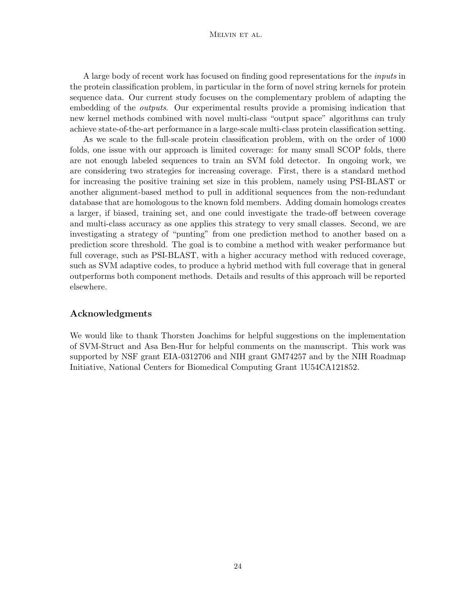### Melvin et al.

A large body of recent work has focused on finding good representations for the inputs in the protein classification problem, in particular in the form of novel string kernels for protein sequence data. Our current study focuses on the complementary problem of adapting the embedding of the *outputs*. Our experimental results provide a promising indication that new kernel methods combined with novel multi-class "output space" algorithms can truly achieve state-of-the-art performance in a large-scale multi-class protein classification setting.

As we scale to the full-scale protein classification problem, with on the order of 1000 folds, one issue with our approach is limited coverage: for many small SCOP folds, there are not enough labeled sequences to train an SVM fold detector. In ongoing work, we are considering two strategies for increasing coverage. First, there is a standard method for increasing the positive training set size in this problem, namely using PSI-BLAST or another alignment-based method to pull in additional sequences from the non-redundant database that are homologous to the known fold members. Adding domain homologs creates a larger, if biased, training set, and one could investigate the trade-off between coverage and multi-class accuracy as one applies this strategy to very small classes. Second, we are investigating a strategy of "punting" from one prediction method to another based on a prediction score threshold. The goal is to combine a method with weaker performance but full coverage, such as PSI-BLAST, with a higher accuracy method with reduced coverage, such as SVM adaptive codes, to produce a hybrid method with full coverage that in general outperforms both component methods. Details and results of this approach will be reported elsewhere.

## Acknowledgments

We would like to thank Thorsten Joachims for helpful suggestions on the implementation of SVM-Struct and Asa Ben-Hur for helpful comments on the manuscript. This work was supported by NSF grant EIA-0312706 and NIH grant GM74257 and by the NIH Roadmap Initiative, National Centers for Biomedical Computing Grant 1U54CA121852.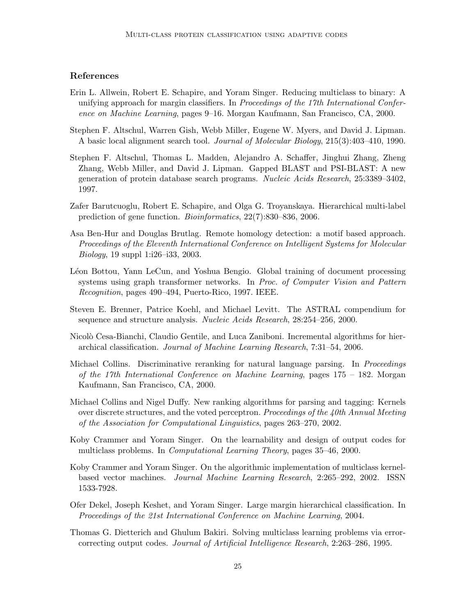## References

- Erin L. Allwein, Robert E. Schapire, and Yoram Singer. Reducing multiclass to binary: A unifying approach for margin classifiers. In *Proceedings of the 17th International Confer*ence on Machine Learning, pages 9–16. Morgan Kaufmann, San Francisco, CA, 2000.
- Stephen F. Altschul, Warren Gish, Webb Miller, Eugene W. Myers, and David J. Lipman. A basic local alignment search tool. Journal of Molecular Biology, 215(3):403–410, 1990.
- Stephen F. Altschul, Thomas L. Madden, Alejandro A. Schaffer, Jinghui Zhang, Zheng Zhang, Webb Miller, and David J. Lipman. Gapped BLAST and PSI-BLAST: A new generation of protein database search programs. Nucleic Acids Research, 25:3389–3402, 1997.
- Zafer Barutcuoglu, Robert E. Schapire, and Olga G. Troyanskaya. Hierarchical multi-label prediction of gene function. Bioinformatics, 22(7):830–836, 2006.
- Asa Ben-Hur and Douglas Brutlag. Remote homology detection: a motif based approach. Proceedings of the Eleventh International Conference on Intelligent Systems for Molecular Biology, 19 suppl 1:i26–i33, 2003.
- Léon Bottou, Yann LeCun, and Yoshua Bengio. Global training of document processing systems using graph transformer networks. In Proc. of Computer Vision and Pattern Recognition, pages 490–494, Puerto-Rico, 1997. IEEE.
- Steven E. Brenner, Patrice Koehl, and Michael Levitt. The ASTRAL compendium for sequence and structure analysis. Nucleic Acids Research, 28:254–256, 2000.
- Nicolò Cesa-Bianchi, Claudio Gentile, and Luca Zaniboni. Incremental algorithms for hierarchical classification. Journal of Machine Learning Research, 7:31–54, 2006.
- Michael Collins. Discriminative reranking for natural language parsing. In *Proceedings* of the 17th International Conference on Machine Learning, pages 175 – 182. Morgan Kaufmann, San Francisco, CA, 2000.
- Michael Collins and Nigel Duffy. New ranking algorithms for parsing and tagging: Kernels over discrete structures, and the voted perceptron. Proceedings of the 40th Annual Meeting of the Association for Computational Linguistics, pages 263–270, 2002.
- Koby Crammer and Yoram Singer. On the learnability and design of output codes for multiclass problems. In Computational Learning Theory, pages 35–46, 2000.
- Koby Crammer and Yoram Singer. On the algorithmic implementation of multiclass kernelbased vector machines. Journal Machine Learning Research, 2:265–292, 2002. ISSN 1533-7928.
- Ofer Dekel, Joseph Keshet, and Yoram Singer. Large margin hierarchical classification. In Proceedings of the 21st International Conference on Machine Learning, 2004.
- Thomas G. Dietterich and Ghulum Bakiri. Solving multiclass learning problems via errorcorrecting output codes. Journal of Artificial Intelligence Research, 2:263–286, 1995.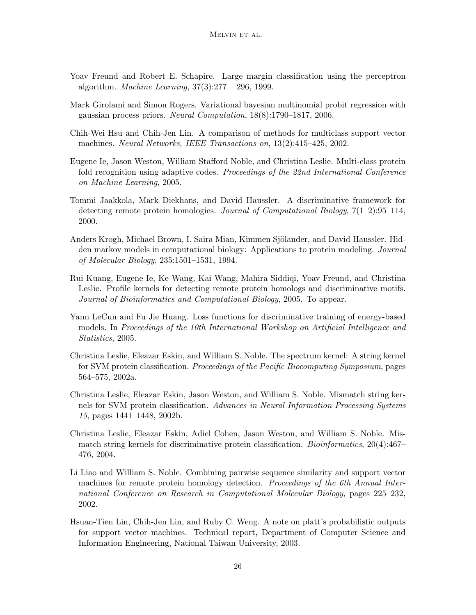- Yoav Freund and Robert E. Schapire. Large margin classification using the perceptron algorithm. *Machine Learning*,  $37(3):277 - 296$ , 1999.
- Mark Girolami and Simon Rogers. Variational bayesian multinomial probit regression with gaussian process priors. Neural Computation, 18(8):1790–1817, 2006.
- Chih-Wei Hsu and Chih-Jen Lin. A comparison of methods for multiclass support vector machines. Neural Networks, IEEE Transactions on, 13(2):415–425, 2002.
- Eugene Ie, Jason Weston, William Stafford Noble, and Christina Leslie. Multi-class protein fold recognition using adaptive codes. Proceedings of the 22nd International Conference on Machine Learning, 2005.
- Tommi Jaakkola, Mark Diekhans, and David Haussler. A discriminative framework for detecting remote protein homologies. Journal of Computational Biology, 7(1–2):95–114, 2000.
- Anders Krogh, Michael Brown, I. Saira Mian, Kimmen Sjölander, and David Haussler. Hidden markov models in computational biology: Applications to protein modeling. Journal of Molecular Biology, 235:1501–1531, 1994.
- Rui Kuang, Eugene Ie, Ke Wang, Kai Wang, Mahira Siddiqi, Yoav Freund, and Christina Leslie. Profile kernels for detecting remote protein homologs and discriminative motifs. Journal of Bioinformatics and Computational Biology, 2005. To appear.
- Yann LeCun and Fu Jie Huang. Loss functions for discriminative training of energy-based models. In Proceedings of the 10th International Workshop on Artificial Intelligence and Statistics, 2005.
- Christina Leslie, Eleazar Eskin, and William S. Noble. The spectrum kernel: A string kernel for SVM protein classification. Proceedings of the Pacific Biocomputing Symposium, pages 564–575, 2002a.
- Christina Leslie, Eleazar Eskin, Jason Weston, and William S. Noble. Mismatch string kernels for SVM protein classification. Advances in Neural Information Processing Systems 15, pages 1441–1448, 2002b.
- Christina Leslie, Eleazar Eskin, Adiel Cohen, Jason Weston, and William S. Noble. Mismatch string kernels for discriminative protein classification. Bioinformatics, 20(4):467– 476, 2004.
- Li Liao and William S. Noble. Combining pairwise sequence similarity and support vector machines for remote protein homology detection. Proceedings of the 6th Annual International Conference on Research in Computational Molecular Biology, pages 225–232, 2002.
- Hsuan-Tien Lin, Chih-Jen Lin, and Ruby C. Weng. A note on platt's probabilistic outputs for support vector machines. Technical report, Department of Computer Science and Information Engineering, National Taiwan University, 2003.